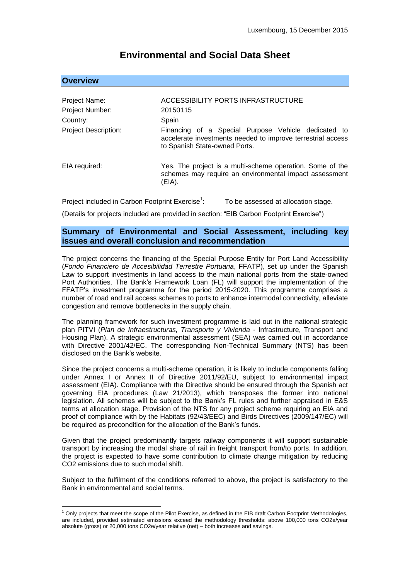# **Environmental and Social Data Sheet**

# **Overview**

1

| Project Name:<br>Project Number:<br>Country:<br><b>Project Description:</b> | ACCESSIBILITY PORTS INFRASTRUCTURE<br>20150115<br>Spain<br>Financing of a Special Purpose Vehicle dedicated to                |
|-----------------------------------------------------------------------------|-------------------------------------------------------------------------------------------------------------------------------|
|                                                                             | accelerate investments needed to improve terrestrial access<br>to Spanish State-owned Ports.                                  |
| EIA required:                                                               | Yes. The project is a multi-scheme operation. Some of the<br>schemes may require an environmental impact assessment<br>(EIA). |

Project included in Carbon Footprint Exercise<sup>1</sup>: : To be assessed at allocation stage.

(Details for projects included are provided in section: "EIB Carbon Footprint Exercise")

# **Summary of Environmental and Social Assessment, including key issues and overall conclusion and recommendation**

The project concerns the financing of the Special Purpose Entity for Port Land Accessibility (*Fondo Financiero de Accesibilidad Terrestre Portuaria*, FFATP), set up under the Spanish Law to support investments in land access to the main national ports from the state-owned Port Authorities. The Bank's Framework Loan (FL) will support the implementation of the FFATP's investment programme for the period 2015-2020. This programme comprises a number of road and rail access schemes to ports to enhance intermodal connectivity, alleviate congestion and remove bottlenecks in the supply chain.

The planning framework for such investment programme is laid out in the national strategic plan PITVI (*Plan de Infraestructuras, Transporte y Vivienda* - Infrastructure, Transport and Housing Plan). A strategic environmental assessment (SEA) was carried out in accordance with Directive 2001/42/EC. The corresponding Non-Technical Summary (NTS) has been disclosed on the Bank's website.

Since the project concerns a multi-scheme operation, it is likely to include components falling under Annex I or Annex II of Directive 2011/92/EU, subject to environmental impact assessment (EIA). Compliance with the Directive should be ensured through the Spanish act governing EIA procedures (Law 21/2013), which transposes the former into national legislation. All schemes will be subject to the Bank's FL rules and further appraised in E&S terms at allocation stage. Provision of the NTS for any project scheme requiring an EIA and proof of compliance with by the Habitats (92/43/EEC) and Birds Directives (2009/147/EC) will be required as precondition for the allocation of the Bank's funds.

Given that the project predominantly targets railway components it will support sustainable transport by increasing the modal share of rail in freight transport from/to ports. In addition, the project is expected to have some contribution to climate change mitigation by reducing CO2 emissions due to such modal shift.

Subject to the fulfilment of the conditions referred to above, the project is satisfactory to the Bank in environmental and social terms.

 $1$  Only projects that meet the scope of the Pilot Exercise, as defined in the EIB draft Carbon Footprint Methodologies, are included, provided estimated emissions exceed the methodology thresholds: above 100,000 tons CO2e/year absolute (gross) or 20,000 tons CO2e/year relative (net) – both increases and savings.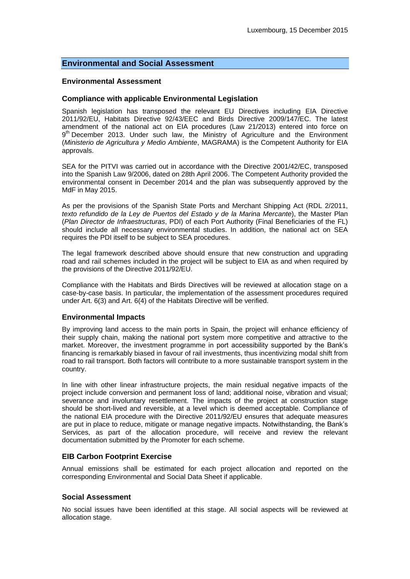# **Environmental and Social Assessment**

#### **Environmental Assessment**

### **Compliance with applicable Environmental Legislation**

Spanish legislation has transposed the relevant EU Directives including EIA Directive 2011/92/EU, Habitats Directive 92/43/EEC and Birds Directive 2009/147/EC. The latest amendment of the national act on EIA procedures (Law 21/2013) entered into force on 9<sup>th</sup> December 2013. Under such law, the Ministry of Agriculture and the Environment (*Ministerio de Agricultura y Medio Ambiente*, MAGRAMA) is the Competent Authority for EIA approvals.

SEA for the PITVI was carried out in accordance with the Directive 2001/42/EC, transposed into the Spanish Law 9/2006, dated on 28th April 2006. The Competent Authority provided the environmental consent in December 2014 and the plan was subsequently approved by the MdF in May 2015.

As per the provisions of the Spanish State Ports and Merchant Shipping Act (RDL 2/2011, *texto refundido de la Ley de Puertos del Estado y de la Marina Mercante*), the Master Plan (*Plan Director de Infraestructuras*, PDI) of each Port Authority (Final Beneficiaries of the FL) should include all necessary environmental studies. In addition, the national act on SEA requires the PDI itself to be subject to SEA procedures.

The legal framework described above should ensure that new construction and upgrading road and rail schemes included in the project will be subject to EIA as and when required by the provisions of the Directive 2011/92/EU.

Compliance with the Habitats and Birds Directives will be reviewed at allocation stage on a case-by-case basis. In particular, the implementation of the assessment procedures required under Art. 6(3) and Art. 6(4) of the Habitats Directive will be verified.

#### **Environmental Impacts**

By improving land access to the main ports in Spain, the project will enhance efficiency of their supply chain, making the national port system more competitive and attractive to the market. Moreover, the investment programme in port accessibility supported by the Bank's financing is remarkably biased in favour of rail investments, thus incentivizing modal shift from road to rail transport. Both factors will contribute to a more sustainable transport system in the country.

In line with other linear infrastructure projects, the main residual negative impacts of the project include conversion and permanent loss of land; additional noise, vibration and visual; severance and involuntary resettlement. The impacts of the project at construction stage should be short-lived and reversible, at a level which is deemed acceptable. Compliance of the national EIA procedure with the Directive 2011/92/EU ensures that adequate measures are put in place to reduce, mitigate or manage negative impacts. Notwithstanding, the Bank's Services, as part of the allocation procedure, will receive and review the relevant documentation submitted by the Promoter for each scheme.

# **EIB Carbon Footprint Exercise**

Annual emissions shall be estimated for each project allocation and reported on the corresponding Environmental and Social Data Sheet if applicable.

# **Social Assessment**

No social issues have been identified at this stage. All social aspects will be reviewed at allocation stage.